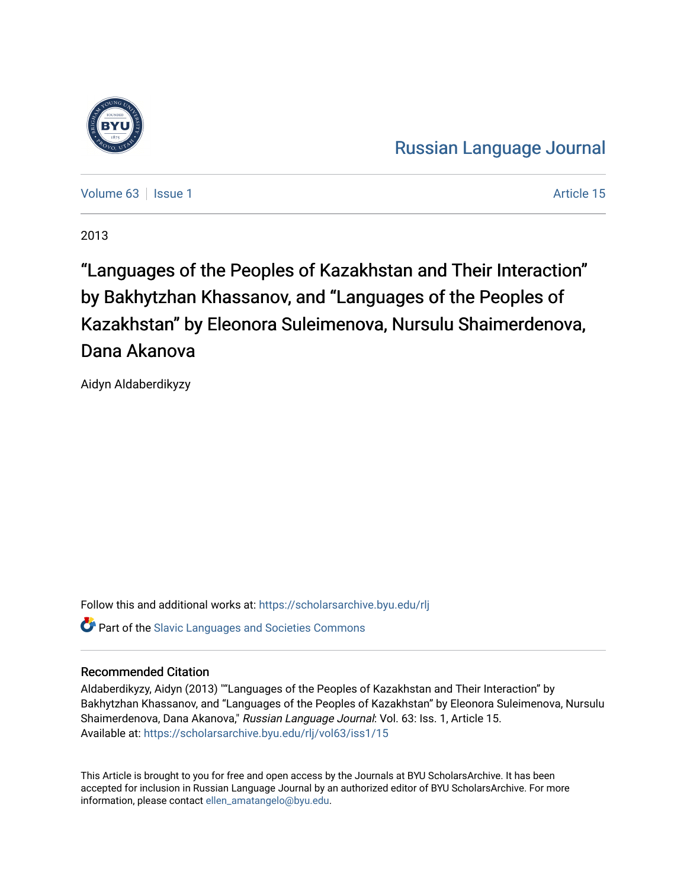

[Russian Language Journal](https://scholarsarchive.byu.edu/rlj) 

[Volume 63](https://scholarsarchive.byu.edu/rlj/vol63) | [Issue 1](https://scholarsarchive.byu.edu/rlj/vol63/iss1) Article 15

2013

"Languages of the Peoples of Kazakhstan and Their Interaction" by Bakhytzhan Khassanov, and "Languages of the Peoples of Kazakhstan" by Eleonora Suleimenova, Nursulu Shaimerdenova, Dana Akanova

Aidyn Aldaberdikyzy

Follow this and additional works at: [https://scholarsarchive.byu.edu/rlj](https://scholarsarchive.byu.edu/rlj?utm_source=scholarsarchive.byu.edu%2Frlj%2Fvol63%2Fiss1%2F15&utm_medium=PDF&utm_campaign=PDFCoverPages) **Part of the Slavic Languages and Societies Commons** 

# Recommended Citation

Aldaberdikyzy, Aidyn (2013) ""Languages of the Peoples of Kazakhstan and Their Interaction" by Bakhytzhan Khassanov, and "Languages of the Peoples of Kazakhstan" by Eleonora Suleimenova, Nursulu Shaimerdenova, Dana Akanova," Russian Language Journal: Vol. 63: Iss. 1, Article 15. Available at: [https://scholarsarchive.byu.edu/rlj/vol63/iss1/15](https://scholarsarchive.byu.edu/rlj/vol63/iss1/15?utm_source=scholarsarchive.byu.edu%2Frlj%2Fvol63%2Fiss1%2F15&utm_medium=PDF&utm_campaign=PDFCoverPages)

This Article is brought to you for free and open access by the Journals at BYU ScholarsArchive. It has been accepted for inclusion in Russian Language Journal by an authorized editor of BYU ScholarsArchive. For more information, please contact [ellen\\_amatangelo@byu.edu.](mailto:ellen_amatangelo@byu.edu)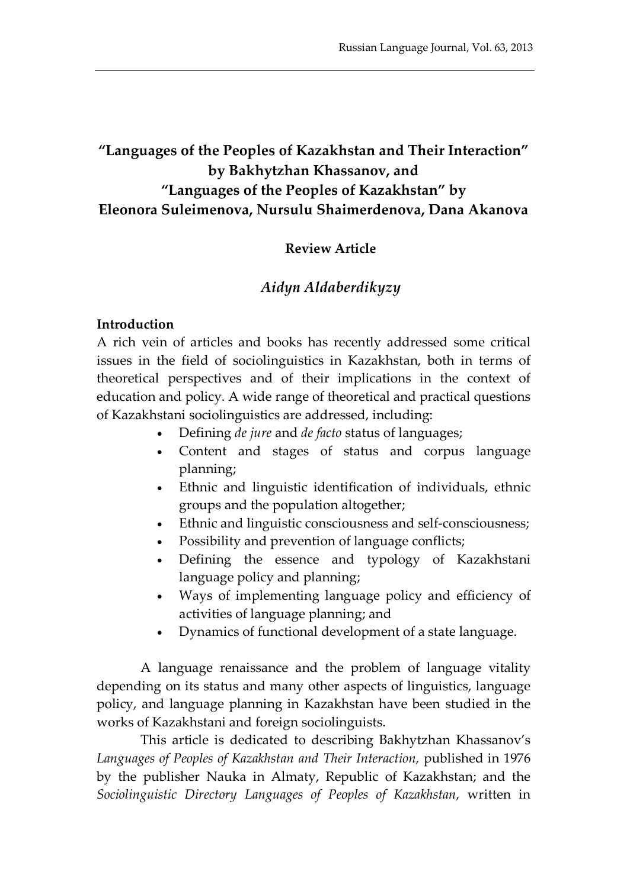# **"Languages of the Peoples of Kazakhstan and Their Interaction" by Bakhytzhan Khassanov, and "Languages of the Peoples of Kazakhstan" by Eleonora Suleimenova, Nursulu Shaimerdenova, Dana Akanova**

## **Review Article**

## *Aidyn Aldaberdikyzy*

#### **Introduction**

A rich vein of articles and books has recently addressed some critical issues in the field of sociolinguistics in Kazakhstan, both in terms of theoretical perspectives and of their implications in the context of education and policy. A wide range of theoretical and practical questions of Kazakhstani sociolinguistics are addressed, including:

- Defining *de jure* and *de facto* status of languages;
- Content and stages of status and corpus language planning;
- Ethnic and linguistic identification of individuals, ethnic groups and the population altogether;
- Ethnic and linguistic consciousness and self-consciousness;
- Possibility and prevention of language conflicts;
- Defining the essence and typology of Kazakhstani language policy and planning;
- Ways of implementing language policy and efficiency of activities of language planning; and
- Dynamics of functional development of a state language.

A language renaissance and the problem of language vitality depending on its status and many other aspects of linguistics, language policy, and language planning in Kazakhstan have been studied in the works of Kazakhstani and foreign sociolinguists.

This article is dedicated to describing Bakhytzhan Khassanov's *Languages of Peoples of Kazakhstan and Their Interaction,* published in 1976 by the publisher Nauka in Almaty, Republic of Kazakhstan; and the *Sociolinguistic Directory Languages of Peoples of Kazakhstan*, written in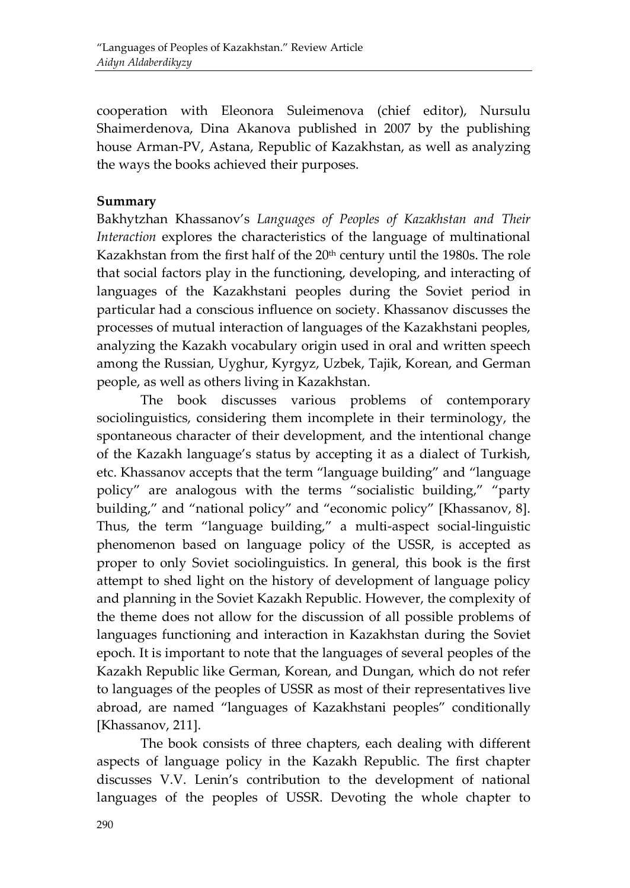cooperation with Eleonora Suleimenova (chief editor), Nursulu Shaimerdenova, Dina Akanova published in 2007 by the publishing house Arman-PV, Astana, Republic of Kazakhstan, as well as analyzing the ways the books achieved their purposes.

#### **Summary**

Bakhytzhan Khassanov's *Languages of Peoples of Kazakhstan and Their Interaction* explores the characteristics of the language of multinational Kazakhstan from the first half of the 20<sup>th</sup> century until the 1980s. The role that social factors play in the functioning, developing, and interacting of languages of the Kazakhstani peoples during the Soviet period in particular had a conscious influence on society. Khassanov discusses the processes of mutual interaction of languages of the Kazakhstani peoples, analyzing the Kazakh vocabulary origin used in oral and written speech among the Russian, Uyghur, Kyrgyz, Uzbek, Tajik, Korean, and German people, as well as others living in Kazakhstan.

The book discusses various problems of contemporary sociolinguistics, considering them incomplete in their terminology, the spontaneous character of their development, and the intentional change of the Kazakh language's status by accepting it as a dialect of Turkish, etc. Khassanov accepts that the term "language building" and "language policy" are analogous with the terms "socialistic building," "party building," and "national policy" and "economic policy" [Khassanov, 8]. Thus, the term "language building," a multi-aspect social-linguistic phenomenon based on language policy of the USSR, is accepted as proper to only Soviet sociolinguistics. In general, this book is the first attempt to shed light on the history of development of language policy and planning in the Soviet Kazakh Republic. However, the complexity of the theme does not allow for the discussion of all possible problems of languages functioning and interaction in Kazakhstan during the Soviet epoch. It is important to note that the languages of several peoples of the Kazakh Republic like German, Korean, and Dungan, which do not refer to languages of the peoples of USSR as most of their representatives live abroad, are named "languages of Kazakhstani peoples" conditionally [Khassanov, 211].

The book consists of three chapters, each dealing with different aspects of language policy in the Kazakh Republic. The first chapter discusses V.V. Lenin's contribution to the development of national languages of the peoples of USSR. Devoting the whole chapter to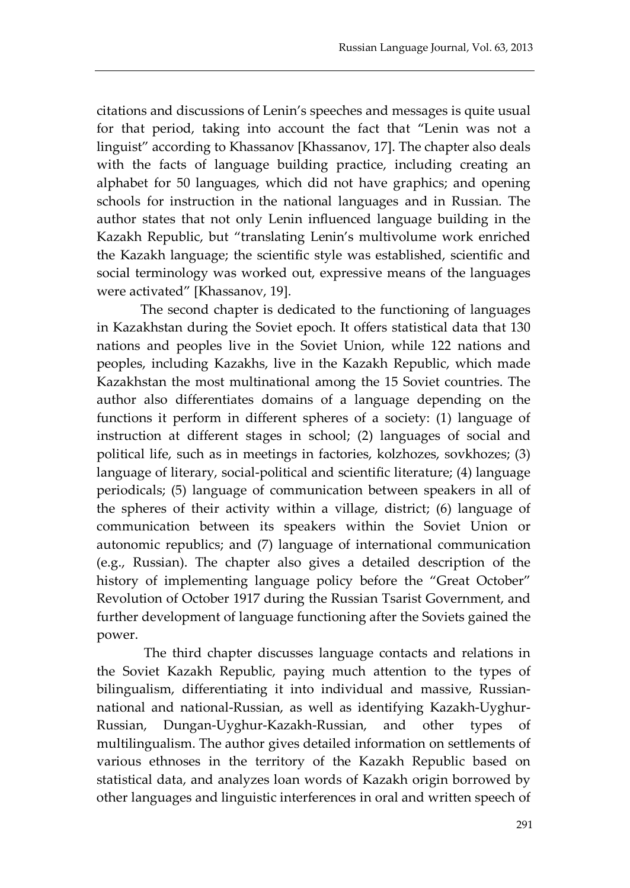citations and discussions of Lenin's speeches and messages is quite usual for that period, taking into account the fact that "Lenin was not a linguist" according to Khassanov [Khassanov, 17]. The chapter also deals with the facts of language building practice, including creating an alphabet for 50 languages, which did not have graphics; and opening schools for instruction in the national languages and in Russian. The author states that not only Lenin influenced language building in the Kazakh Republic, but "translating Lenin's multivolume work enriched the Kazakh language; the scientific style was established, scientific and social terminology was worked out, expressive means of the languages were activated" [Khassanov, 19].

The second chapter is dedicated to the functioning of languages in Kazakhstan during the Soviet epoch. It offers statistical data that 130 nations and peoples live in the Soviet Union, while 122 nations and peoples, including Kazakhs, live in the Kazakh Republic, which made Kazakhstan the most multinational among the 15 Soviet countries. The author also differentiates domains of a language depending on the functions it perform in different spheres of a society: (1) language of instruction at different stages in school; (2) languages of social and political life, such as in meetings in factories, kolzhozes, sovkhozes; (3) language of literary, social-political and scientific literature; (4) language periodicals; (5) language of communication between speakers in all of the spheres of their activity within a village, district; (6) language of communication between its speakers within the Soviet Union or autonomic republics; and (7) language of international communication (e.g., Russian). The chapter also gives a detailed description of the history of implementing language policy before the "Great October" Revolution of October 1917 during the Russian Tsarist Government, and further development of language functioning after the Soviets gained the power.

The third chapter discusses language contacts and relations in the Soviet Kazakh Republic, paying much attention to the types of bilingualism, differentiating it into individual and massive, Russiannational and national-Russian, as well as identifying Kazakh-Uyghur-Russian, Dungan-Uyghur-Kazakh-Russian, and other types of multilingualism. The author gives detailed information on settlements of various ethnoses in the territory of the Kazakh Republic based on statistical data, and analyzes loan words of Kazakh origin borrowed by other languages and linguistic interferences in oral and written speech of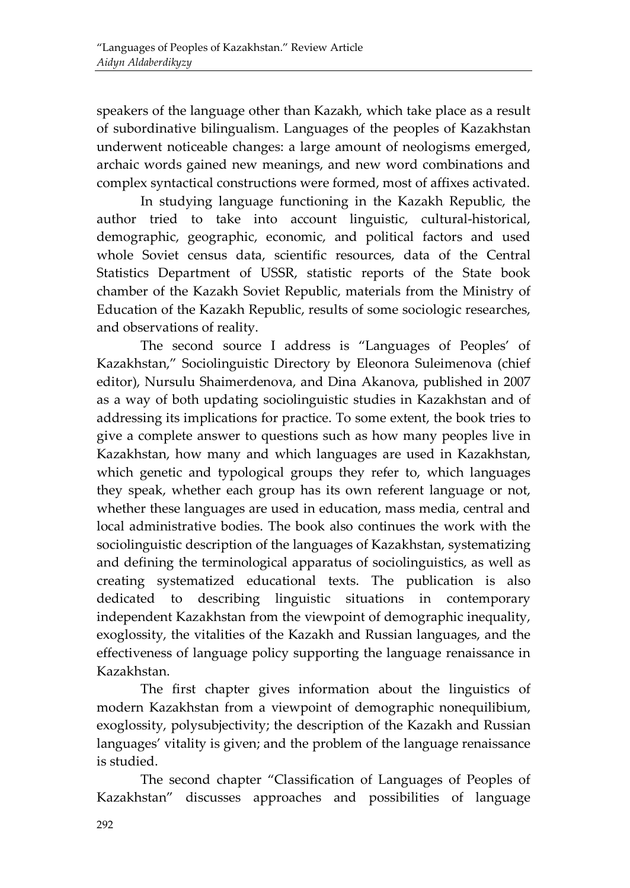speakers of the language other than Kazakh, which take place as a result of subordinative bilingualism. Languages of the peoples of Kazakhstan underwent noticeable changes: a large amount of neologisms emerged, archaic words gained new meanings, and new word combinations and complex syntactical constructions were formed, most of affixes activated.

In studying language functioning in the Kazakh Republic, the author tried to take into account linguistic, cultural-historical, demographic, geographic, economic, and political factors and used whole Soviet census data, scientific resources, data of the Central Statistics Department of USSR, statistic reports of the State book chamber of the Kazakh Soviet Republic, materials from the Ministry of Education of the Kazakh Republic, results of some sociologic researches, and observations of reality.

The second source I address is "Languages of Peoples' of Kazakhstan," Sociolinguistic Directory by Eleonora Suleimenova (chief editor), Nursulu Shaimerdenova, and Dina Akanova, published in 2007 as a way of both updating sociolinguistic studies in Kazakhstan and of addressing its implications for practice. To some extent, the book tries to give a complete answer to questions such as how many peoples live in Kazakhstan, how many and which languages are used in Kazakhstan, which genetic and typological groups they refer to, which languages they speak, whether each group has its own referent language or not, whether these languages are used in education, mass media, central and local administrative bodies. The book also continues the work with the sociolinguistic description of the languages of Kazakhstan, systematizing and defining the terminological apparatus of sociolinguistics, as well as creating systematized educational texts. The publication is also dedicated to describing linguistic situations in contemporary independent Kazakhstan from the viewpoint of demographic inequality, exoglossity, the vitalities of the Kazakh and Russian languages, and the effectiveness of language policy supporting the language renaissance in Kazakhstan.

The first chapter gives information about the linguistics of modern Kazakhstan from a viewpoint of demographic nonequilibium, exoglossity, polysubjectivity; the description of the Kazakh and Russian languages' vitality is given; and the problem of the language renaissance is studied.

The second chapter "Classification of Languages of Peoples of Kazakhstan" discusses approaches and possibilities of language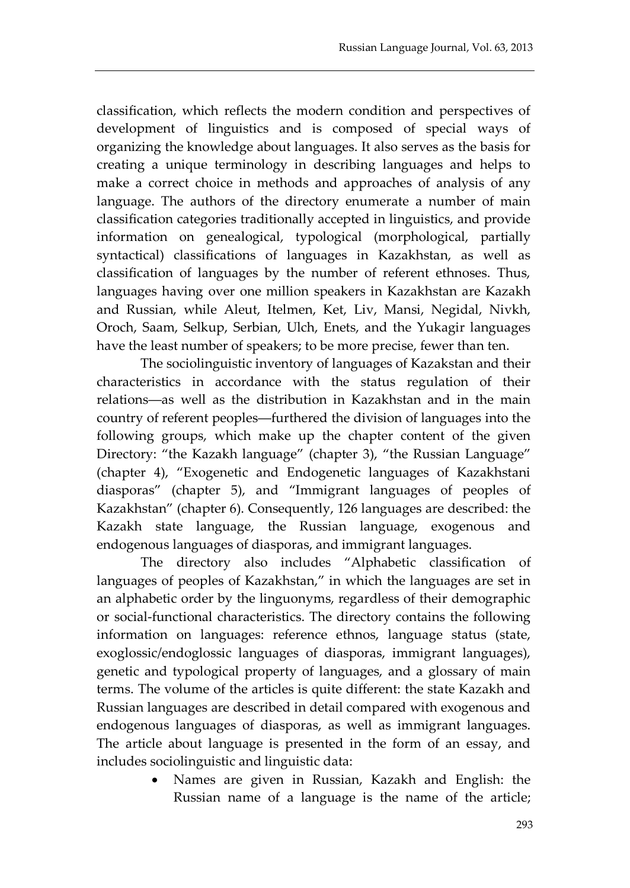classification, which reflects the modern condition and perspectives of development of linguistics and is composed of special ways of organizing the knowledge about languages. It also serves as the basis for creating a unique terminology in describing languages and helps to make a correct choice in methods and approaches of analysis of any language. The authors of the directory enumerate a number of main classification categories traditionally accepted in linguistics, and provide information on genealogical, typological (morphological, partially syntactical) classifications of languages in Kazakhstan, as well as classification of languages by the number of referent ethnoses. Thus, languages having over one million speakers in Kazakhstan are Kazakh and Russian, while Aleut, Itelmen, Ket, Liv, Mansi, Negidal, Nivkh, Oroch, Saam, Selkup, Serbian, Ulch, Enets, and the Yukagir languages have the least number of speakers; to be more precise, fewer than ten.

The sociolinguistic inventory of languages of Kazakstan and their characteristics in accordance with the status regulation of their relations―as well as the distribution in Kazakhstan and in the main country of referent peoples―furthered the division of languages into the following groups, which make up the chapter content of the given Directory: "the Kazakh language" (chapter 3), "the Russian Language" (chapter 4), "Exogenetic and Endogenetic languages of Kazakhstani diasporas" (chapter 5), and "Immigrant languages of peoples of Kazakhstan" (chapter 6). Consequently, 126 languages are described: the Kazakh state language, the Russian language, exogenous and endogenous languages of diasporas, and immigrant languages.

The directory also includes "Alphabetic classification of languages of peoples of Kazakhstan," in which the languages are set in an alphabetic order by the linguonyms, regardless of their demographic or social-functional characteristics. The directory contains the following information on languages: reference ethnos, language status (state, exoglossic/endoglossic languages of diasporas, immigrant languages), genetic and typological property of languages, and a glossary of main terms. The volume of the articles is quite different: the state Kazakh and Russian languages are described in detail compared with exogenous and endogenous languages of diasporas, as well as immigrant languages. The article about language is presented in the form of an essay, and includes sociolinguistic and linguistic data:

> • Names are given in Russian, Kazakh and English: the Russian name of a language is the name of the article;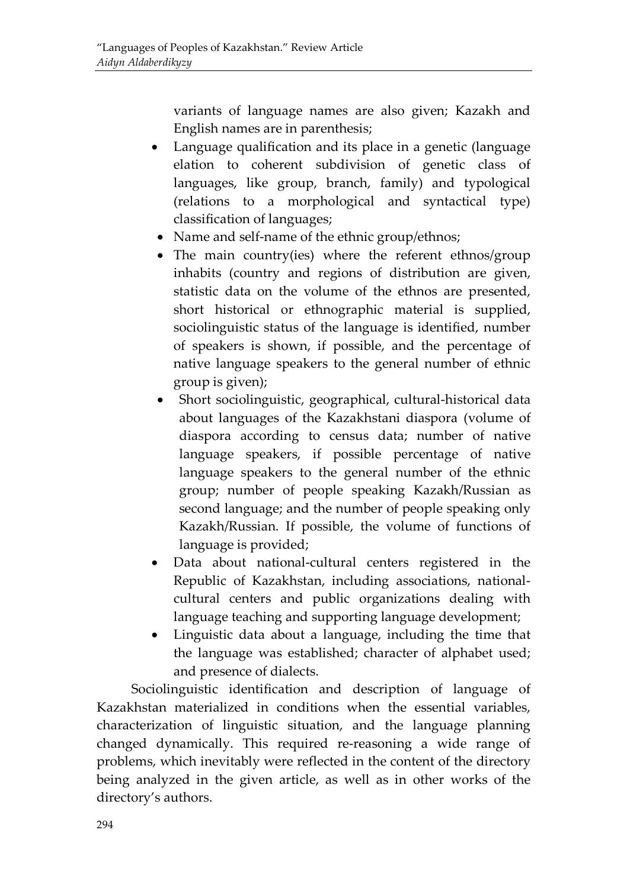variants of language names are also given; Kazakh and English names are in parenthesis;

- Language qualification and its place in a genetic (language elation to coherent subdivision of genetic class of languages, like group, branch, family) and typological (relations to a morphological and syntactical type) classification of languages;
- Name and self-name of the ethnic group/ethnos;
- The main country(ies) where the referent ethnos/group inhabits (country and regions of distribution are given, statistic data on the volume of the ethnos are presented, short historical or ethnographic material is supplied, sociolinguistic status of the language is identified, number of speakers is shown, if possible, and the percentage of native language speakers to the general number of ethnic group is given);
- Short sociolinguistic, geographical, cultural-historical data about languages of the Kazakhstani diaspora (volume of diaspora according to census data; number of native language speakers, if possible percentage of native language speakers to the general number of the ethnic group; number of people speaking Kazakh/Russian as second language; and the number of people speaking only Kazakh/Russian. If possible, the volume of functions of language is provided;
- Data about national-cultural centers registered in the Republic of Kazakhstan, including associations, nationalcultural centers and public organizations dealing with language teaching and supporting language development;
- Linguistic data about a language, including the time that the language was established; character of alphabet used; and presence of dialects.

Sociolinguistic identification and description of language of Kazakhstan materialized in conditions when the essential variables, characterization of linguistic situation, and the language planning changed dynamically. This required re-reasoning a wide range of problems, which inevitably were reflected in the content of the directory being analyzed in the given article, as well as in other works of the directory's authors.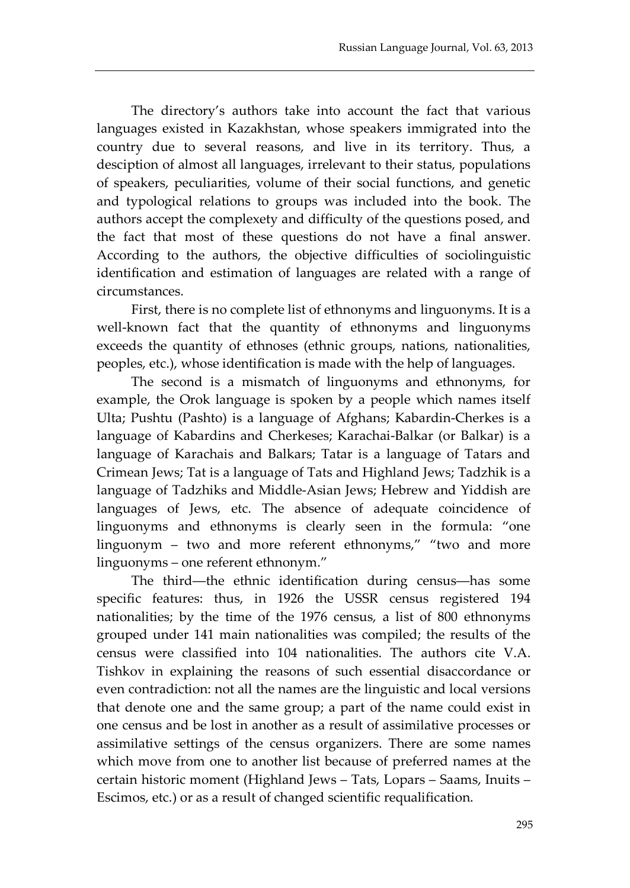The directory's authors take into account the fact that various languages existed in Kazakhstan, whose speakers immigrated into the country due to several reasons, and live in its territory. Thus, a desciption of almost all languages, irrelevant to their status, populations of speakers, peculiarities, volume of their social functions, and genetic and typological relations to groups was included into the book. The authors accept the complexety and difficulty of the questions posed, and the fact that most of these questions do not have a final answer. According to the authors, the objective difficulties of sociolinguistic identification and estimation of languages are related with a range of circumstances.

First, there is no complete list of ethnonyms and linguonyms. It is a well-known fact that the quantity of ethnonyms and linguonyms exceeds the quantity of ethnoses (ethnic groups, nations, nationalities, peoples, etc.), whose identification is made with the help of languages.

The second is a mismatch of linguonyms and ethnonyms, for example, the Orok language is spoken by a people which names itself Ulta; Pushtu (Pashto) is a language of Afghans; Kabardin-Cherkes is a language of Kabardins and Cherkeses; Karachai-Balkar (or Balkar) is a language of Karachais and Balkars; Tatar is a language of Tatars and Crimean Jews; Tat is a language of Tats and Highland Jews; Tadzhik is a language of Tadzhiks and Middle-Asian Jews; Hebrew and Yiddish are languages of Jews, etc. The absence of adequate coincidence of linguonyms and ethnonyms is clearly seen in the formula: "one linguonym – two and more referent ethnonyms," "two and more linguonyms – one referent ethnonym."

The third―the ethnic identification during census―has some specific features: thus, in 1926 the USSR census registered 194 nationalities; by the time of the 1976 census, a list of 800 ethnonyms grouped under 141 main nationalities was compiled; the results of the census were classified into 104 nationalities. The authors cite V.A. Tishkov in explaining the reasons of such essential disaccordance or even contradiction: not all the names are the linguistic and local versions that denote one and the same group; a part of the name could exist in one census and be lost in another as a result of assimilative processes or assimilative settings of the census organizers. There are some names which move from one to another list because of preferred names at the certain historic moment (Highland Jews – Tats, Lopars – Saams, Inuits – Escimos, etc.) or as a result of changed scientific requalification.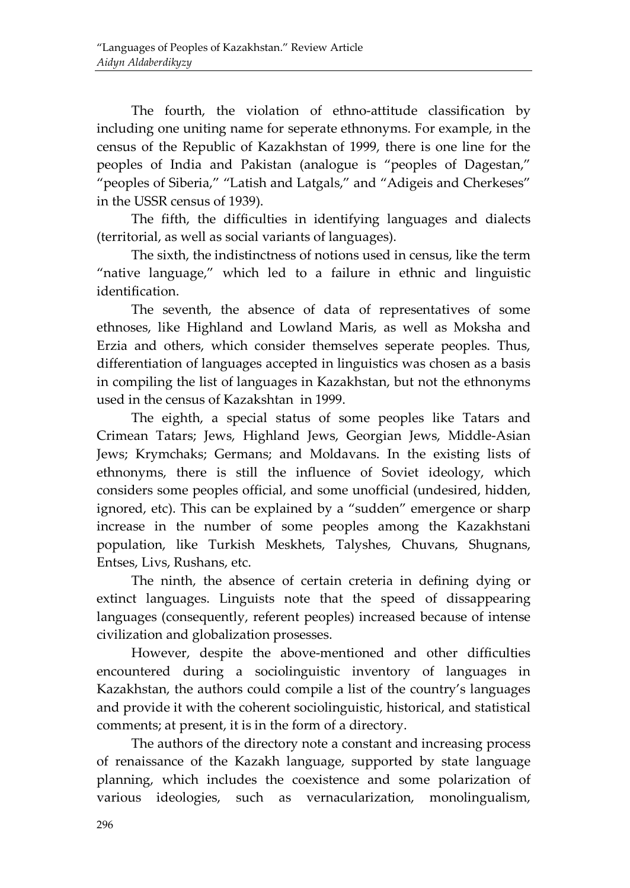The fourth, the violation of ethno-attitude classification by including one uniting name for seperate ethnonyms. For example, in the census of the Republic of Kazakhstan of 1999, there is one line for the peoples of India and Pakistan (analogue is "peoples of Dagestan," "peoples of Siberia," "Latish and Latgals," and "Adigeis and Cherkeses" in the USSR census of 1939).

The fifth, the difficulties in identifying languages and dialects (territorial, as well as social variants of languages).

The sixth, the indistinctness of notions used in census, like the term "native language," which led to a failure in ethnic and linguistic identification.

The seventh, the absence of data of representatives of some ethnoses, like Highland and Lowland Maris, as well as Moksha and Erzia and others, which consider themselves seperate peoples. Thus, differentiation of languages accepted in linguistics was chosen as a basis in compiling the list of languages in Kazakhstan, but not the ethnonyms used in the census of Kazakshtan in 1999.

The eighth, a special status of some peoples like Tatars and Crimean Tatars; Jews, Highland Jews, Georgian Jews, Middle-Asian Jews; Krymchaks; Germans; and Moldavans. In the existing lists of ethnonyms, there is still the influence of Soviet ideology, which considers some peoples official, and some unofficial (undesired, hidden, ignored, etc). This can be explained by a "sudden" emergence or sharp increase in the number of some peoples among the Kazakhstani population, like Turkish Meskhets, Talyshes, Chuvans, Shugnans, Entses, Livs, Rushans, etc.

The ninth, the absence of certain creteria in defining dying or extinct languages. Linguists note that the speed of dissappearing languages (consequently, referent peoples) increased because of intense civilization and globalization prosesses.

However, despite the above-mentioned and other difficulties encountered during a sociolinguistic inventory of languages in Kazakhstan, the authors could compile a list of the country's languages and provide it with the coherent sociolinguistic, historical, and statistical comments; at present, it is in the form of a directory.

The authors of the directory note a constant and increasing process of renaissance of the Kazakh language, supported by state language planning, which includes the coexistence and some polarization of various ideologies, such as vernacularization, monolingualism,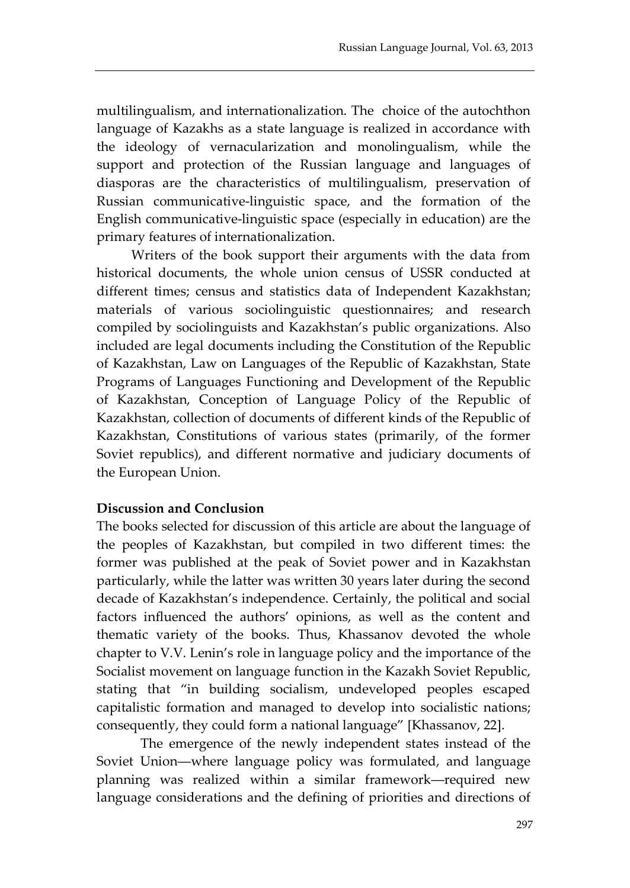multilingualism, and internationalization. The choice of the autochthon language of Kazakhs as a state language is realized in accordance with the ideology of vernacularization and monolingualism, while the support and protection of the Russian language and languages of diasporas are the characteristics of multilingualism, preservation of Russian communicative-linguistic space, and the formation of the English communicative-linguistic space (especially in education) are the primary features of internationalization.

Writers of the book support their arguments with the data from historical documents, the whole union census of USSR conducted at different times; census and statistics data of Independent Kazakhstan; materials of various sociolinguistic questionnaires; and research compiled by sociolinguists and Kazakhstan's public organizations. Also included are legal documents including the Constitution of the Republic of Kazakhstan, Law on Languages of the Republic of Kazakhstan, State Programs of Languages Functioning and Development of the Republic of Kazakhstan, Conception of Language Policy of the Republic of Kazakhstan, collection of documents of different kinds of the Republic of Kazakhstan, Constitutions of various states (primarily, of the former Soviet republics), and different normative and judiciary documents of the European Union.

#### **Discussion and Conclusion**

The books selected for discussion of this article are about the language of the peoples of Kazakhstan, but compiled in two different times: the former was published at the peak of Soviet power and in Kazakhstan particularly, while the latter was written 30 years later during the second decade of Kazakhstan's independence. Certainly, the political and social factors influenced the authors' opinions, as well as the content and thematic variety of the books. Thus, Khassanov devoted the whole chapter to V.V. Lenin's role in language policy and the importance of the Socialist movement on language function in the Kazakh Soviet Republic, stating that "in building socialism, undeveloped peoples escaped capitalistic formation and managed to develop into socialistic nations; consequently, they could form a national language" [Khassanov, 22].

The emergence of the newly independent states instead of the Soviet Union―where language policy was formulated, and language planning was realized within a similar framework―required new language considerations and the defining of priorities and directions of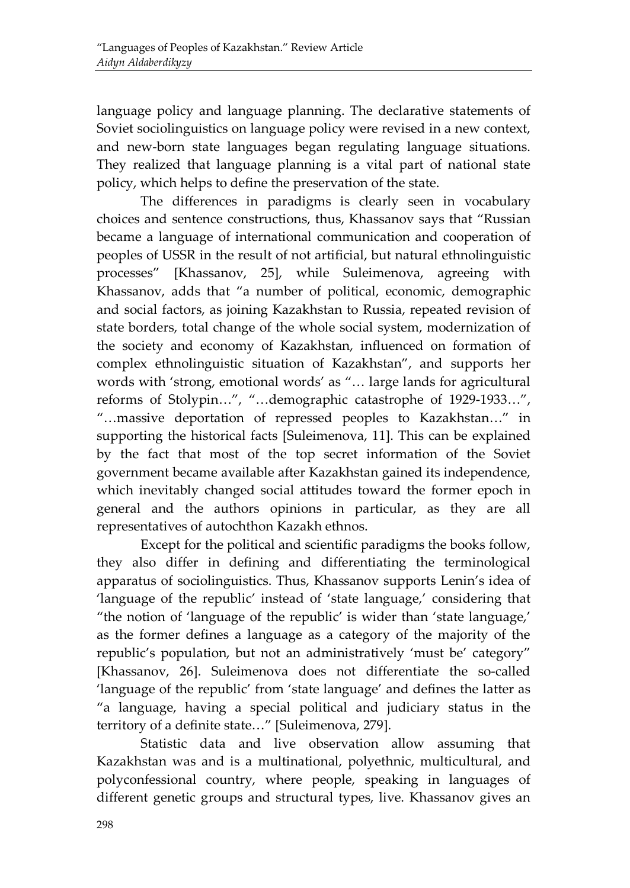language policy and language planning. The declarative statements of Soviet sociolinguistics on language policy were revised in a new context, and new-born state languages began regulating language situations. They realized that language planning is a vital part of national state policy, which helps to define the preservation of the state.

The differences in paradigms is clearly seen in vocabulary choices and sentence constructions, thus, Khassanov says that "Russian became a language of international communication and cooperation of peoples of USSR in the result of not artificial, but natural ethnolinguistic processes" [Khassanov, 25], while Suleimenova, agreeing with Khassanov, adds that "a number of political, economic, demographic and social factors, as joining Kazakhstan to Russia, repeated revision of state borders, total change of the whole social system, modernization of the society and economy of Kazakhstan, influenced on formation of complex ethnolinguistic situation of Kazakhstan", and supports her words with 'strong, emotional words' as "… large lands for agricultural reforms of Stolypin…", "…demographic catastrophe of 1929-1933…", "…massive deportation of repressed peoples to Kazakhstan…" in supporting the historical facts [Suleimenova, 11]. This can be explained by the fact that most of the top secret information of the Soviet government became available after Kazakhstan gained its independence, which inevitably changed social attitudes toward the former epoch in general and the authors opinions in particular, as they are all representatives of autochthon Kazakh ethnos.

Except for the political and scientific paradigms the books follow, they also differ in defining and differentiating the terminological apparatus of sociolinguistics. Thus, Khassanov supports Lenin's idea of 'language of the republic' instead of 'state language,' considering that "the notion of 'language of the republic' is wider than 'state language,' as the former defines a language as a category of the majority of the republic's population, but not an administratively 'must be' category" [Khassanov, 26]. Suleimenova does not differentiate the so-called 'language of the republic' from 'state language' and defines the latter as "a language, having a special political and judiciary status in the territory of a definite state…" [Suleimenova, 279].

Statistic data and live observation allow assuming that Kazakhstan was and is a multinational, polyethnic, multicultural, and polyconfessional country, where people, speaking in languages of different genetic groups and structural types, live. Khassanov gives an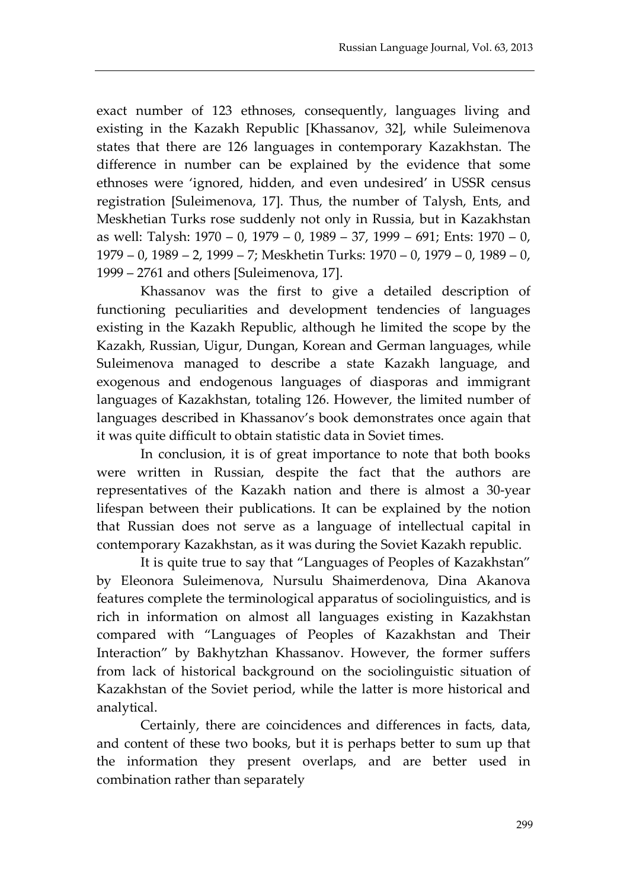exact number of 123 ethnoses, consequently, languages living and existing in the Kazakh Republic [Khassanov, 32], while Suleimenova states that there are 126 languages in contemporary Kazakhstan. The difference in number can be explained by the evidence that some ethnoses were 'ignored, hidden, and even undesired' in USSR census registration [Suleimenova, 17]. Thus, the number of Talysh, Ents, and Meskhetian Turks rose suddenly not only in Russia, but in Kazakhstan as well: Talysh: 1970 – 0, 1979 – 0, 1989 – 37, 1999 – 691; Ents: 1970 – 0, 1979 – 0, 1989 – 2, 1999 – 7; Meskhetin Turks: 1970 – 0, 1979 – 0, 1989 – 0, 1999 – 2761 and others [Suleimenova, 17].

Khassanov was the first to give a detailed description of functioning peculiarities and development tendencies of languages existing in the Kazakh Republic, although he limited the scope by the Kazakh, Russian, Uigur, Dungan, Korean and German languages, while Suleimenova managed to describe a state Kazakh language, and exogenous and endogenous languages of diasporas and immigrant languages of Kazakhstan, totaling 126. However, the limited number of languages described in Khassanov's book demonstrates once again that it was quite difficult to obtain statistic data in Soviet times.

In conclusion, it is of great importance to note that both books were written in Russian, despite the fact that the authors are representatives of the Kazakh nation and there is almost a 30-year lifespan between their publications. It can be explained by the notion that Russian does not serve as a language of intellectual capital in contemporary Kazakhstan, as it was during the Soviet Kazakh republic.

It is quite true to say that "Languages of Peoples of Kazakhstan" by Eleonora Suleimenova, Nursulu Shaimerdenova, Dina Akanova features complete the terminological apparatus of sociolinguistics, and is rich in information on almost all languages existing in Kazakhstan compared with "Languages of Peoples of Kazakhstan and Their Interaction" by Bakhytzhan Khassanov. However, the former suffers from lack of historical background on the sociolinguistic situation of Kazakhstan of the Soviet period, while the latter is more historical and analytical.

Certainly, there are coincidences and differences in facts, data, and content of these two books, but it is perhaps better to sum up that the information they present overlaps, and are better used in combination rather than separately